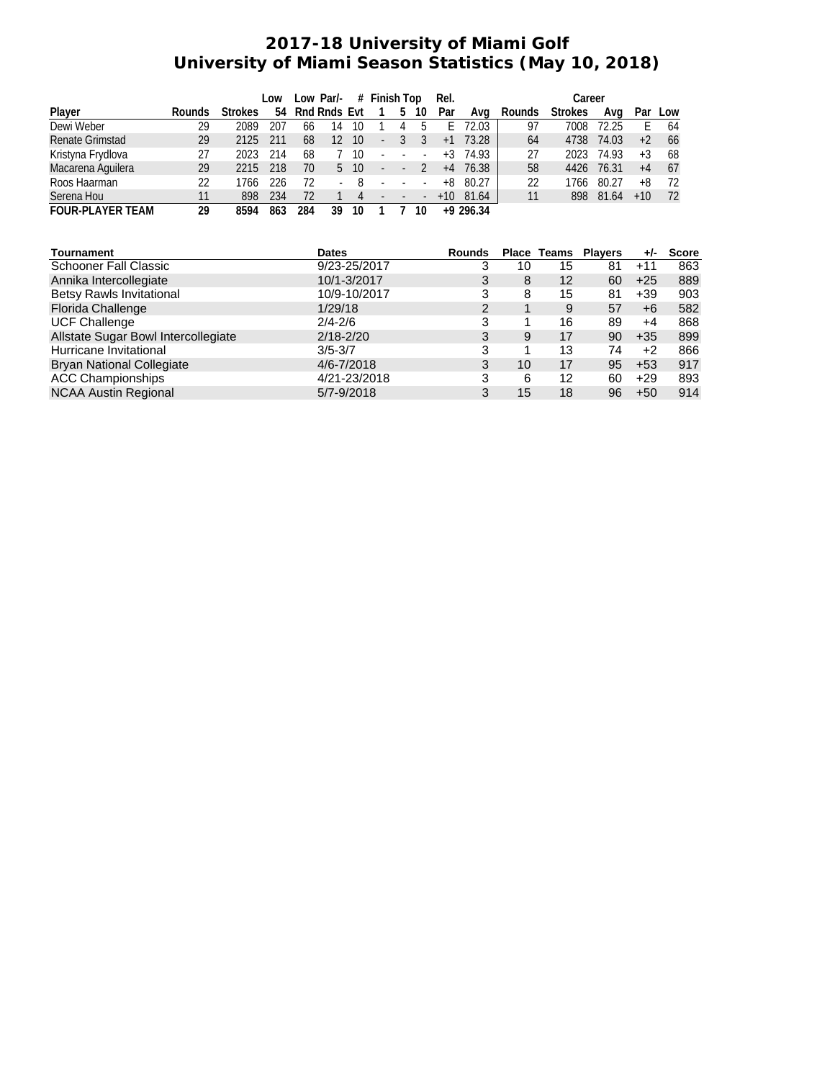## **2017-18 University of Miami Golf University of Miami Season Statistics (May 10, 2018)**

|                         |        |                | Low | Low Par/-<br># Finish Top |              |    |                          | Rel. |                          | Career |             |        |                |       |       |     |
|-------------------------|--------|----------------|-----|---------------------------|--------------|----|--------------------------|------|--------------------------|--------|-------------|--------|----------------|-------|-------|-----|
| Player                  | Rounds | <b>Strokes</b> | 54  |                           | Rnd Rnds Evt |    |                          | 5    | 10                       | Par    | Ava         | Rounds | <b>Strokes</b> | Ava   | Par   | Low |
| Dewi Weber              | 29     | 2089           | 207 | 66                        | 14           | 10 |                          |      |                          |        | 72.03       | 97     | 7008           | 72.25 |       | 64  |
| <b>Renate Grimstad</b>  | 29     | 2125           | 211 | 68                        | 12           | 10 | $\overline{\phantom{a}}$ |      |                          | $+1$   | 73.28       | 64     | 4738           | 74.03 | $+2$  | 66  |
| Kristyna Frydlova       | 27     | 2023           | 214 | 68                        |              | 10 | $\overline{\phantom{a}}$ |      | $\overline{\phantom{a}}$ | $+3$   | 74.93       | 27     | 2023           | 74.93 | $+3$  | 68  |
| Macarena Aguilera       | 29     | 2215           | 218 | 70                        | 5            | 10 | ÷,                       |      |                          | $+4$   | 76.38       | 58     | 4426           | 76.31 | $+4$  | 67  |
| Roos Haarman            | 22     | 766            | 226 | 72                        | ٠            | -8 |                          |      |                          | +8     | 80.27       | 22     | 1766           | 80.27 | $+8$  | 72  |
| Serena Hou              | 11     | 898            | 234 | 72                        |              | 4  | $\overline{\phantom{a}}$ |      | $\sim$                   | $+10$  | 81.64       | 11     | 898            | 81.64 | $+10$ | 72  |
| <b>FOUR-PLAYER TEAM</b> | 29     | 8594           | 863 | 284                       | 39           | 10 |                          |      | 10                       |        | $+9$ 296.34 |        |                |       |       |     |

| Tournament                          | <b>Dates</b>   | Rounds         |    | <b>Place Teams</b> | <b>Players</b> | $+/-$ | Score |
|-------------------------------------|----------------|----------------|----|--------------------|----------------|-------|-------|
| <b>Schooner Fall Classic</b>        | 9/23-25/2017   | 3              | 10 | 15                 | 81             | $+11$ | 863   |
| Annika Intercollegiate              | 10/1-3/2017    | 3              | 8  | 12                 | 60             | $+25$ | 889   |
| <b>Betsy Rawls Invitational</b>     | 10/9-10/2017   | 3              | 8  | 15                 | 81             | $+39$ | 903   |
| <b>Florida Challenge</b>            | 1/29/18        | $\overline{2}$ |    | 9                  | 57             | +6    | 582   |
| <b>UCF Challenge</b>                | $2/4 - 2/6$    | 3              |    | 16                 | 89             | +4    | 868   |
| Allstate Sugar Bowl Intercollegiate | $2/18 - 2/20$  | 3              | 9  | 17                 | 90             | $+35$ | 899   |
| Hurricane Invitational              | $3/5 - 3/7$    | 3              |    | 13                 | 74             | $+2$  | 866   |
| <b>Bryan National Collegiate</b>    | $4/6 - 7/2018$ | 3              | 10 | 17                 | 95             | $+53$ | 917   |
| <b>ACC Championships</b>            | 4/21-23/2018   | 3              | 6  | 12                 | 60             | $+29$ | 893   |
| <b>NCAA Austin Regional</b>         | 5/7-9/2018     | 3              | 15 | 18                 | 96             | $+50$ | 914   |